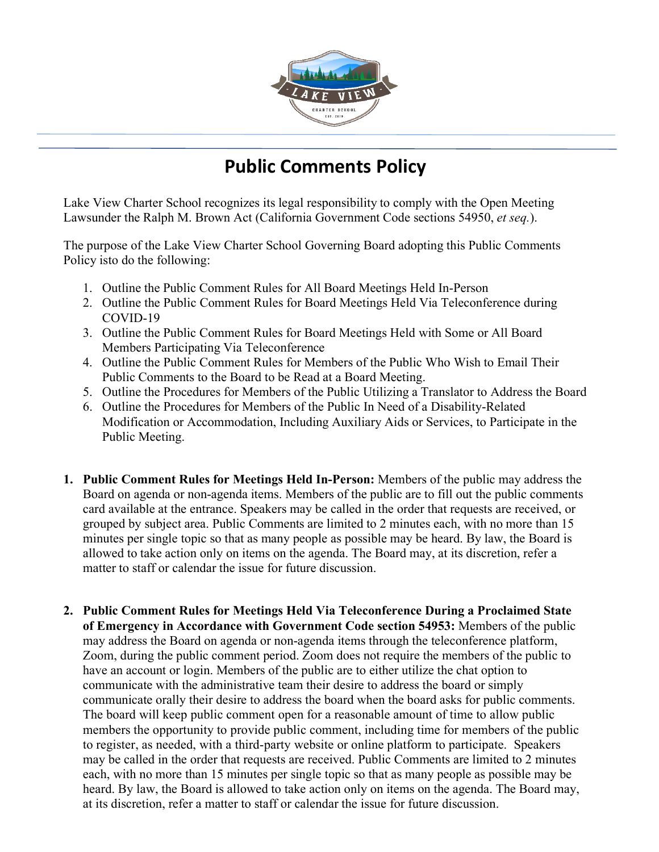

## **Public Comments Policy**

Lake View Charter School recognizes its legal responsibility to comply with the Open Meeting Lawsunder the Ralph M. Brown Act (California Government Code sections 54950, *et seq.*).

The purpose of the Lake View Charter School Governing Board adopting this Public Comments Policy isto do the following:

- 1. Outline the Public Comment Rules for All Board Meetings Held In-Person
- 2. Outline the Public Comment Rules for Board Meetings Held Via Teleconference during COVID-19
- 3. Outline the Public Comment Rules for Board Meetings Held with Some or All Board Members Participating Via Teleconference
- 4. Outline the Public Comment Rules for Members of the Public Who Wish to Email Their Public Comments to the Board to be Read at a Board Meeting.
- 5. Outline the Procedures for Members of the Public Utilizing a Translator to Address the Board
- 6. Outline the Procedures for Members of the Public In Need of a Disability-Related Modification or Accommodation, Including Auxiliary Aids or Services, to Participate in the Public Meeting.
- **1. Public Comment Rules for Meetings Held In-Person:** Members of the public may address the Board on agenda or non-agenda items. Members of the public are to fill out the public comments card available at the entrance. Speakers may be called in the order that requests are received, or grouped by subject area. Public Comments are limited to 2 minutes each, with no more than 15 minutes per single topic so that as many people as possible may be heard. By law, the Board is allowed to take action only on items on the agenda. The Board may, at its discretion, refer a matter to staff or calendar the issue for future discussion.
- **2. Public Comment Rules for Meetings Held Via Teleconference During a Proclaimed State of Emergency in Accordance with Government Code section 54953:** Members of the public may address the Board on agenda or non-agenda items through the teleconference platform, Zoom, during the public comment period. Zoom does not require the members of the public to have an account or login. Members of the public are to either utilize the chat option to communicate with the administrative team their desire to address the board or simply communicate orally their desire to address the board when the board asks for public comments. The board will keep public comment open for a reasonable amount of time to allow public members the opportunity to provide public comment, including time for members of the public to register, as needed, with a third-party website or online platform to participate. Speakers may be called in the order that requests are received. Public Comments are limited to 2 minutes each, with no more than 15 minutes per single topic so that as many people as possible may be heard. By law, the Board is allowed to take action only on items on the agenda. The Board may, at its discretion, refer a matter to staff or calendar the issue for future discussion.